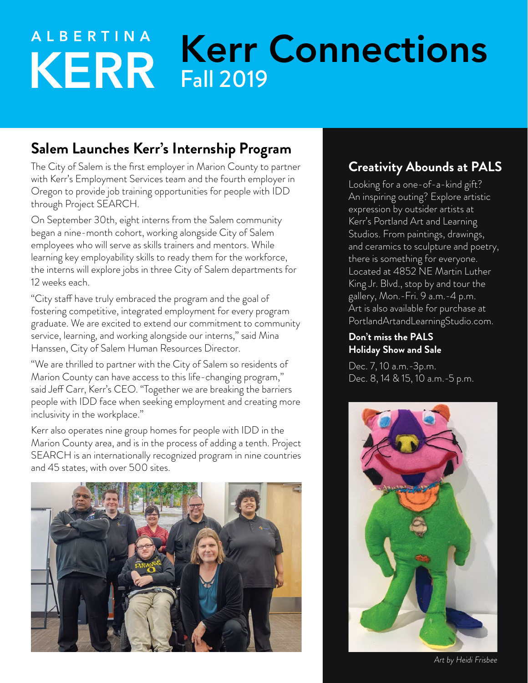## **ALBERTINA** Kerr Connections **KERR** Fall 2019

## **Salem Launches Kerr's Internship Program**

The City of Salem is the first employer in Marion County to partner with Kerr's Employment Services team and the fourth employer in Oregon to provide job training opportunities for people with IDD through Project SEARCH.

On September 30th, eight interns from the Salem community began a nine-month cohort, working alongside City of Salem employees who will serve as skills trainers and mentors. While learning key employability skills to ready them for the workforce, the interns will explore jobs in three City of Salem departments for 12 weeks each.

"City staff have truly embraced the program and the goal of fostering competitive, integrated employment for every program graduate. We are excited to extend our commitment to community service, learning, and working alongside our interns," said Mina Hanssen, City of Salem Human Resources Director.

"We are thrilled to partner with the City of Salem so residents of Marion County can have access to this life-changing program," said Jeff Carr, Kerr's CEO. "Together we are breaking the barriers people with IDD face when seeking employment and creating more inclusivity in the workplace."

Kerr also operates nine group homes for people with IDD in the Marion County area, and is in the process of adding a tenth. Project SEARCH is an internationally recognized program in nine countries and 45 states, with over 500 sites.



## **Creativity Abounds at PALS**

Looking for a one-of-a-kind gift? An inspiring outing? Explore artistic expression by outsider artists at Kerr's Portland Art and Learning Studios. From paintings, drawings, and ceramics to sculpture and poetry, there is something for everyone. Located at 4852 NE Martin Luther King Jr. Blvd., stop by and tour the gallery, Mon.-Fri. 9 a.m.-4 p.m. Art is also available for purchase at PortlandArtandLearningStudio.com.

#### **Don't miss the PALS Holiday Show and Sale**

Dec. 7, 10 a.m.-3p.m. Dec. 8, 14 & 15, 10 a.m.-5 p.m.



*Art by Heidi Frisbee*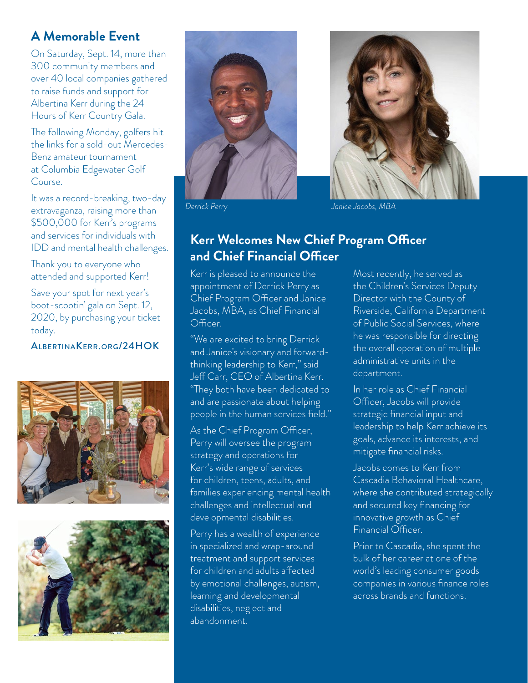#### **A Memorable Event**

On Saturday, Sept. 14, more than 300 community members and over 40 local companies gathered to raise funds and support for Albertina Kerr during the 24 Hours of Kerr Country Gala.

The following Monday, golfers hit the links for a sold-out Mercedes-Benz amateur tournament at Columbia Edgewater Golf Course.

It was a record-breaking, two-day extravaganza, raising more than \$500,000 for Kerr's programs and services for individuals with IDD and mental health challenges.

Thank you to everyone who attended and supported Kerr!

Save your spot for next year's boot-scootin' gala on Sept. 12, 2020, by purchasing your ticket today.

#### AlbertinaKerr.org/24HOK









*Derrick Perry Janice Jacobs, MBA*

### **Kerr Welcomes New Chief Program Officer and Chief Financial Officer**

Kerr is pleased to announce the appointment of Derrick Perry as Chief Program Officer and Janice Jacobs, MBA, as Chief Financial Officer.

"We are excited to bring Derrick and Janice's visionary and forwardthinking leadership to Kerr," said Jeff Carr, CEO of Albertina Kerr. "They both have been dedicated to and are passionate about helping people in the human services field."

As the Chief Program Officer, Perry will oversee the program strategy and operations for Kerr's wide range of services for children, teens, adults, and families experiencing mental health challenges and intellectual and developmental disabilities.

Perry has a wealth of experience in specialized and wrap-around treatment and support services for children and adults affected by emotional challenges, autism, learning and developmental disabilities, neglect and abandonment.

Most recently, he served as the Children's Services Deputy Director with the County of Riverside, California Department of Public Social Services, where he was responsible for directing the overall operation of multiple administrative units in the department.

In her role as Chief Financial Officer, Jacobs will provide strategic financial input and leadership to help Kerr achieve its goals, advance its interests, and mitigate financial risks.

Jacobs comes to Kerr from Cascadia Behavioral Healthcare, where she contributed strategically and secured key financing for innovative growth as Chief Financial Officer.

Prior to Cascadia, she spent the bulk of her career at one of the world's leading consumer goods companies in various finance roles across brands and functions.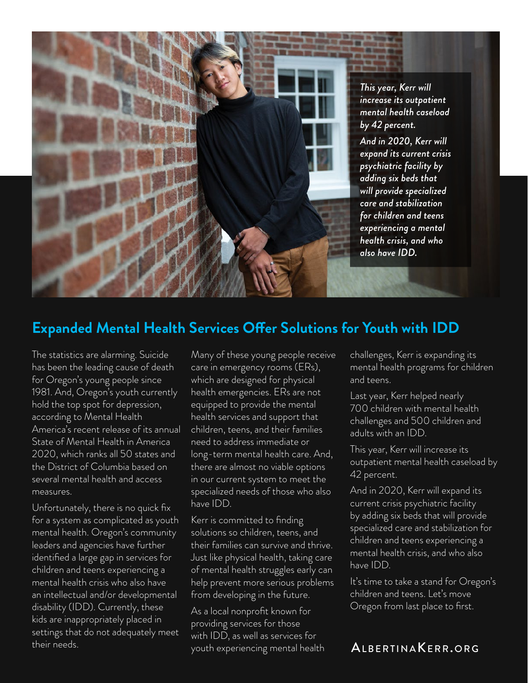

*This year, Kerr will increase its outpatient mental health caseload by 42 percent. And in 2020, Kerr will expand its current crisis psychiatric facility by adding six beds that will provide specialized care and stabilization for children and teens experiencing a mental health crisis, and who also have IDD.*

## **Expanded Mental Health Services Offer Solutions for Youth with IDD**

The statistics are alarming. Suicide has been the leading cause of death for Oregon's young people since 1981. And, Oregon's youth currently hold the top spot for depression, according to Mental Health America's recent release of its annual State of Mental Health in America 2020, which ranks all 50 states and the District of Columbia based on several mental health and access measures.

Unfortunately, there is no quick fix for a system as complicated as youth mental health. Oregon's community leaders and agencies have further identified a large gap in services for children and teens experiencing a mental health crisis who also have an intellectual and/or developmental disability (IDD). Currently, these kids are inappropriately placed in settings that do not adequately meet their needs.

Many of these young people receive care in emergency rooms (ERs), which are designed for physical health emergencies. ERs are not equipped to provide the mental health services and support that children, teens, and their families need to address immediate or long-term mental health care. And, there are almost no viable options in our current system to meet the specialized needs of those who also have IDD.

Kerr is committed to finding solutions so children, teens, and their families can survive and thrive. Just like physical health, taking care of mental health struggles early can help prevent more serious problems from developing in the future.

As a local nonprofit known for providing services for those with IDD, as well as services for youth experiencing mental health challenges, Kerr is expanding its mental health programs for children and teens.

Last year, Kerr helped nearly 700 children with mental health challenges and 500 children and adults with an IDD.

This year, Kerr will increase its outpatient mental health caseload by 42 percent.

And in 2020, Kerr will expand its current crisis psychiatric facility by adding six beds that will provide specialized care and stabilization for children and teens experiencing a mental health crisis, and who also have IDD.

It's time to take a stand for Oregon's children and teens. Let's move Oregon from last place to first.

#### ALBERTINAKERR.ORG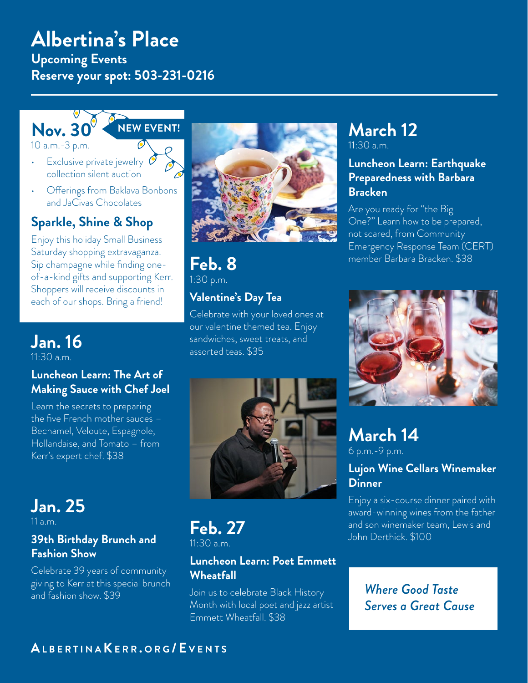## **Albertina's Place**

**Upcoming Events Reserve your spot: 503-231-0216**

## **Nov. 30**

10 a.m.-3 p.m.

- Exclusive private jewelry collection silent auction
- Offerings from Baklava Bonbons and JaCivas Chocolates

## **Sparkle, Shine & Shop**

Enjoy this holiday Small Business Saturday shopping extravaganza. Sip champagne while finding oneof-a-kind gifts and supporting Kerr. Shoppers will receive discounts in each of our shops. Bring a friend!

#### **Jan. 16** 11:30 a.m.

#### **Luncheon Learn: The Art of Making Sauce with Chef Joel**

Learn the secrets to preparing the five French mother sauces – Bechamel, Veloute, Espagnole, Hollandaise, and Tomato – from Kerr's expert chef. \$38

**Jan. 25** 11 a.m.

#### **39th Birthday Brunch and Fashion Show**

Celebrate 39 years of community giving to Kerr at this special brunch and fashion show. \$39



**Feb. 8** 1:30 p.m.

#### **Valentine's Day Tea**

Celebrate with your loved ones at our valentine themed tea. Enjoy sandwiches, sweet treats, and assorted teas. \$35



#### **Luncheon Learn: Earthquake Preparedness with Barbara Bracken**

Are you ready for "the Big One?" Learn how to be prepared, not scared, from Community Emergency Response Team (CERT) member Barbara Bracken. \$38



## **March 14** 6 p.m.-9 p.m.

#### **Lujon Wine Cellars Winemaker Dinner**

Enjoy a six-course dinner paired with award-winning wines from the father and son winemaker team, Lewis and John Derthick. \$100

## *Where Good Taste Serves a Great Cause*

**Feb. 27**  $11.30$  a.m.

#### **Luncheon Learn: Poet Emmett Wheatfall**

Join us to celebrate Black History Month with local poet and jazz artist Emmett Wheatfall. \$38

### **Al b e r t i n <sup>a</sup> Ke r r . o r g / E v e n t s**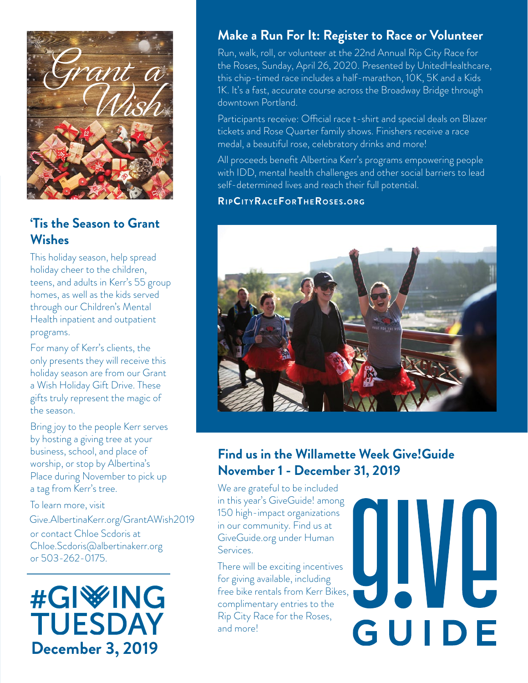

## **'Tis the Season to Grant Wishes**

This holiday season, help spread holiday cheer to the children, teens, and adults in Kerr's 55 group homes, as well as the kids served through our Children's Mental Health inpatient and outpatient programs.

For many of Kerr's clients, the only presents they will receive this holiday season are from our Grant a Wish Holiday Gift Drive. These gifts truly represent the magic of the season.

Bring joy to the people Kerr serves by hosting a giving tree at your business, school, and place of worship, or stop by Albertina's Place during November to pick up a tag from Kerr's tree.

#### To learn more, visit

or contact Chloe Scdoris at Chloe.Scdoris@albertinakerr.org or 503-262-0175. Give.AlbertinaKerr.org/GrantAWish2019

#GI<sup>W</sup>ING **TUESDAY December 3, 2019**

## **Make a Run For It: Register to Race or Volunteer**

Run, walk, roll, or volunteer at the 22nd Annual Rip City Race for the Roses, Sunday, April 26, 2020. Presented by UnitedHealthcare, this chip-timed race includes a half-marathon, 10K, 5K and a Kids 1K. It's a fast, accurate course across the Broadway Bridge through downtown Portland.

Participants receive: Official race t-shirt and special deals on Blazer tickets and Rose Quarter family shows. Finishers receive a race medal, a beautiful rose, celebratory drinks and more!

All proceeds benefit Albertina Kerr's programs empowering people with IDD, mental health challenges and other social barriers to lead self-determined lives and reach their full potential.

**RipCi t yRaceForTheRo se s.org**



## **Find us in the Willamette Week Give!Guide November 1 - December 31, 2019**

We are grateful to be included in this year's GiveGuide! among 150 high-impact organizations in our community. Find us at GiveGuide.org under Human Services.

There will be exciting incentives for giving available, including free bike rentals from Kerr Bikes, complimentary entries to the Rip City Race for the Roses, and more!

U GUIDE